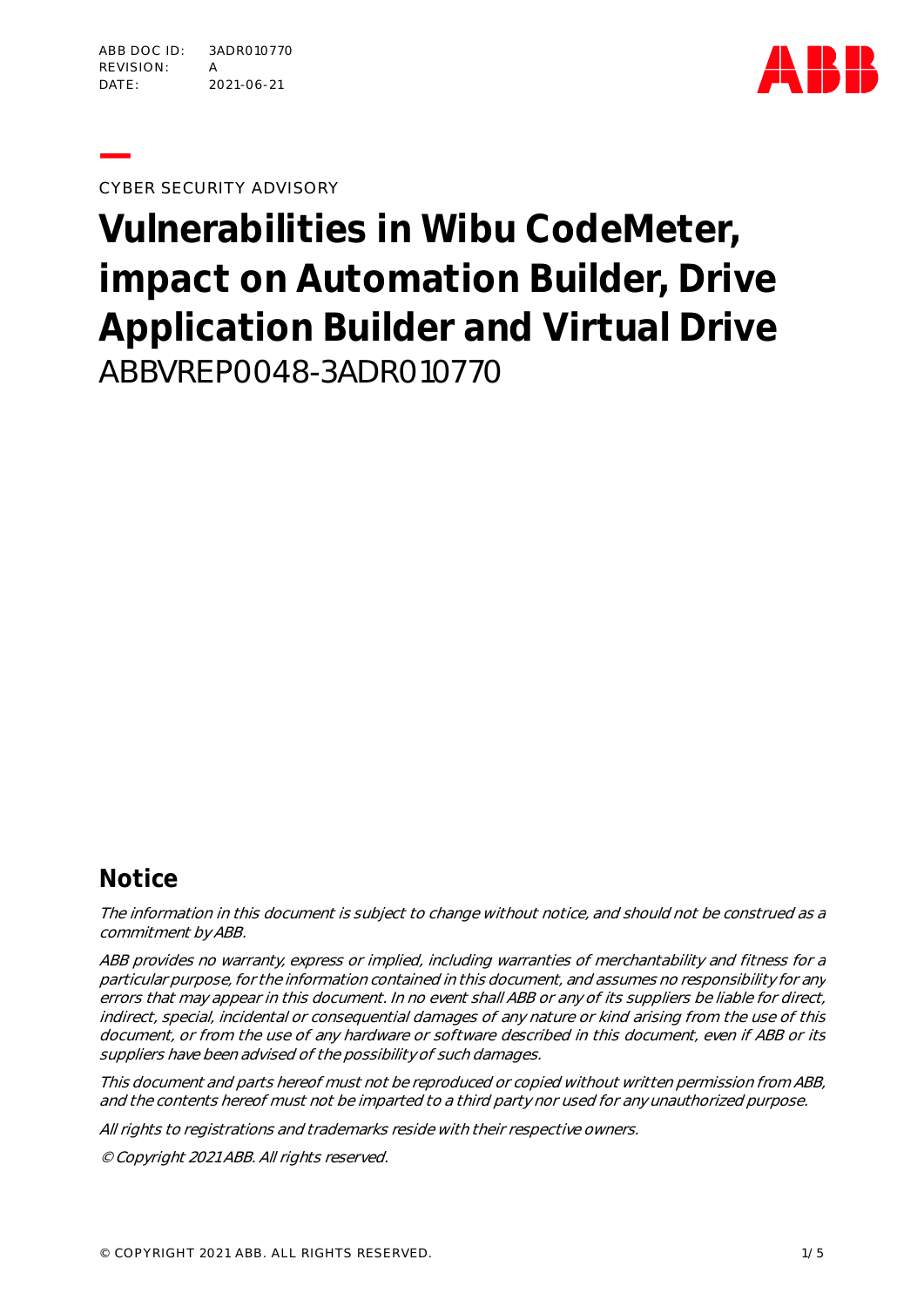

**—**CYBER SECURITY ADVISORY

**Vulnerabilities in Wibu CodeMeter, impact on Automation Builder, Drive Application Builder and Virtual Drive** ABBVREP0048-3ADR010770

## **Notice**

The information in this document is subject to change without notice, and should not be construed as a commitment by ABB.

ABB provides no warranty, express or implied, including warranties of merchantability and fitness for a particular purpose, for the information contained in this document, and assumes no responsibility for any errors that may appear in this document. In no event shall ABB or any of its suppliers be liable for direct, indirect, special, incidental or consequential damages of any nature or kind arising from the use of this document, or from the use of any hardware or software described in this document, even if ABB or its suppliers have been advised of the possibility of such damages.

This document and parts hereof must not be reproduced or copied without written permission from ABB, and the contents hereof must not be imparted to a third party nor used for any unauthorized purpose.

All rights to registrations and trademarks reside with their respective owners.

© Copyright 2021 ABB. All rights reserved.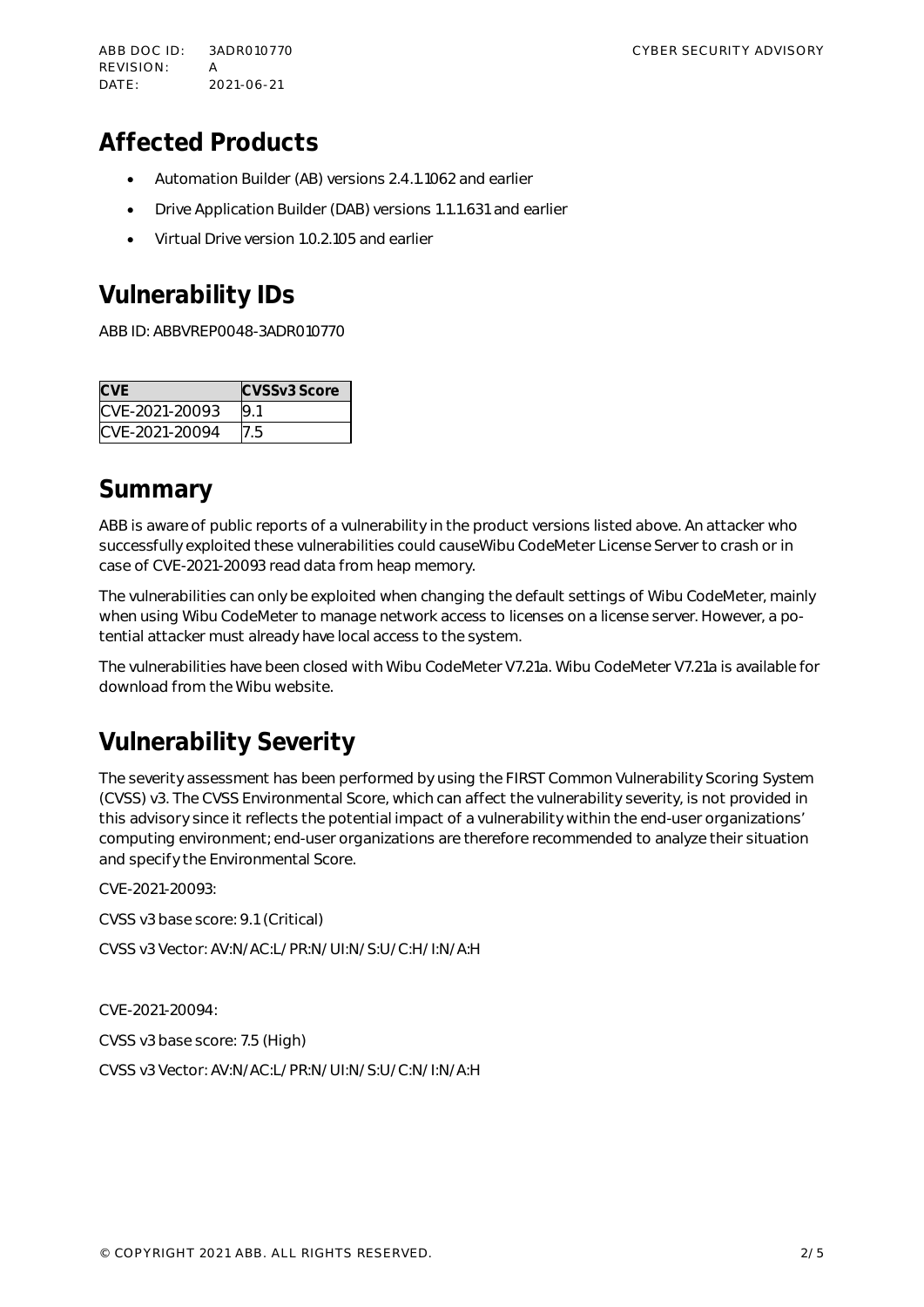ABB DOC ID: 3ADR010770 CYBER SECURITY ADVISORY REVISION: A DATE: 2021-06-21

# **Affected Products**

- Automation Builder (AB) versions 2.4.1.1062 and earlier
- Drive Application Builder (DAB) versions 1.1.1.631 and earlier
- Virtual Drive version 1.0.2.105 and earlier

# **Vulnerability IDs**

ABB ID: ABBVREP0048-3ADR010770

| <b>CVE</b>     | CVSSv3 Score |
|----------------|--------------|
| CVE-2021-20093 | 9.1          |
| CVE-2021-20094 |              |

### **Summary**

ABB is aware of public reports of a vulnerability in the product versions listed above. An attacker who successfully exploited these vulnerabilities could causeWibu CodeMeter License Server to crash or in case of CVE-2021-20093 read data from heap memory.

The vulnerabilities can only be exploited when changing the default settings of Wibu CodeMeter, mainly when using Wibu CodeMeter to manage network access to licenses on a license server. However, a potential attacker must already have local access to the system.

The vulnerabilities have been closed with Wibu CodeMeter V7.21a. Wibu CodeMeter V7.21a is available for download from the Wibu website.

# **Vulnerability Severity**

The severity assessment has been performed by using the FIRST Common Vulnerability Scoring System (CVSS) v3. The CVSS Environmental Score, which can affect the vulnerability severity, is not provided in this advisory since it reflects the potential impact of a vulnerability within the end-user organizations' computing environment; end-user organizations are therefore recommended to analyze their situation and specify the Environmental Score.

CVE-2021-20093:

CVSS v3 base score: 9.1 (Critical)

CVSS v3 Vector: AV:N/AC:L/PR:N/UI:N/S:U/C:H/I:N/A:H

CVE-2021-20094:

CVSS v3 base score: 7.5 (High)

CVSS v3 Vector: AV:N/AC:L/PR:N/UI:N/S:U/C:N/I:N/A:H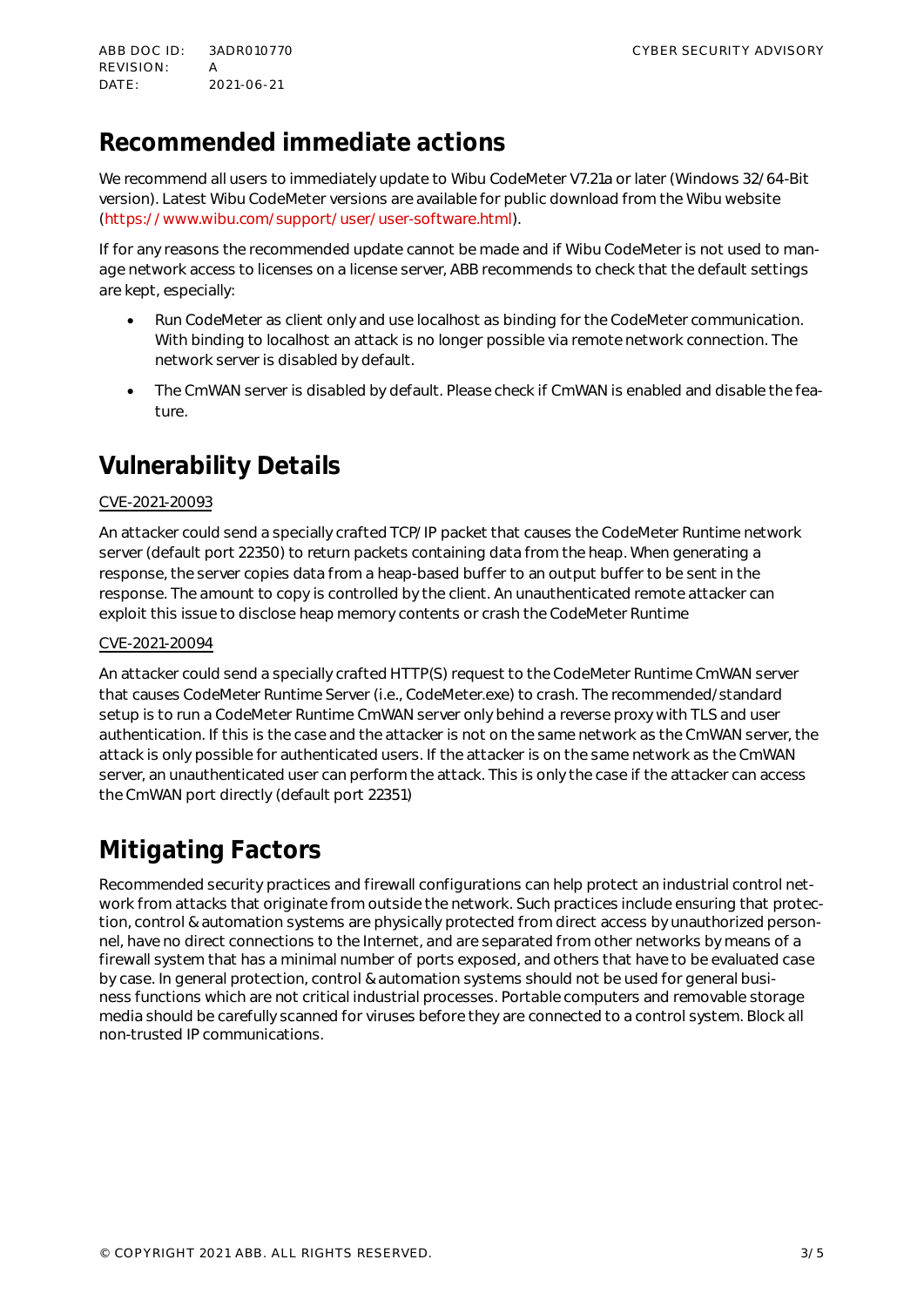# **Recommended immediate actions**

We recommend all users to immediately update to Wibu CodeMeter V7.21a or later (Windows 32/64-Bit version). Latest Wibu CodeMeter versions are available for public download from the Wibu website (<https://www.wibu.com/support/user/user-software.html>).

If for any reasons the recommended update cannot be made and if Wibu CodeMeter is not used to manage network access to licenses on a license server, ABB recommends to check that the default settings are kept, especially:

- Run CodeMeter as client only and use localhost as binding for the CodeMeter communication. With binding to localhost an attack is no longer possible via remote network connection. The network server is disabled by default.
- The CmWAN server is disabled by default. Please check if CmWAN is enabled and disable the feature.

# **Vulnerability Details**

### CVE-2021-20093

An attacker could send a specially crafted TCP/IP packet that causes the CodeMeter Runtime network server (default port 22350) to return packets containing data from the heap. When generating a response, the server copies data from a heap-based buffer to an output buffer to be sent in the response. The amount to copy is controlled by the client. An unauthenticated remote attacker can exploit this issue to disclose heap memory contents or crash the CodeMeter Runtime

#### CVE-2021-20094

An attacker could send a specially crafted HTTP(S) request to the CodeMeter Runtime CmWAN server that causes CodeMeter Runtime Server (i.e., CodeMeter.exe) to crash. The recommended/standard setup is to run a CodeMeter Runtime CmWAN server only behind a reverse proxy with TLS and user authentication. If this is the case and the attacker is not on the same network as the CmWAN server, the attack is only possible for authenticated users. If the attacker is on the same network as the CmWAN server, an unauthenticated user can perform the attack. This is only the case if the attacker can access the CmWAN port directly (default port 22351)

# **Mitigating Factors**

Recommended security practices and firewall configurations can help protect an industrial control network from attacks that originate from outside the network. Such practices include ensuring that protection, control & automation systems are physically protected from direct access by unauthorized personnel, have no direct connections to the Internet, and are separated from other networks by means of a firewall system that has a minimal number of ports exposed, and others that have to be evaluated case by case. In general protection, control & automation systems should not be used for general business functions which are not critical industrial processes. Portable computers and removable storage media should be carefully scanned for viruses before they are connected to a control system. Block all non-trusted IP communications.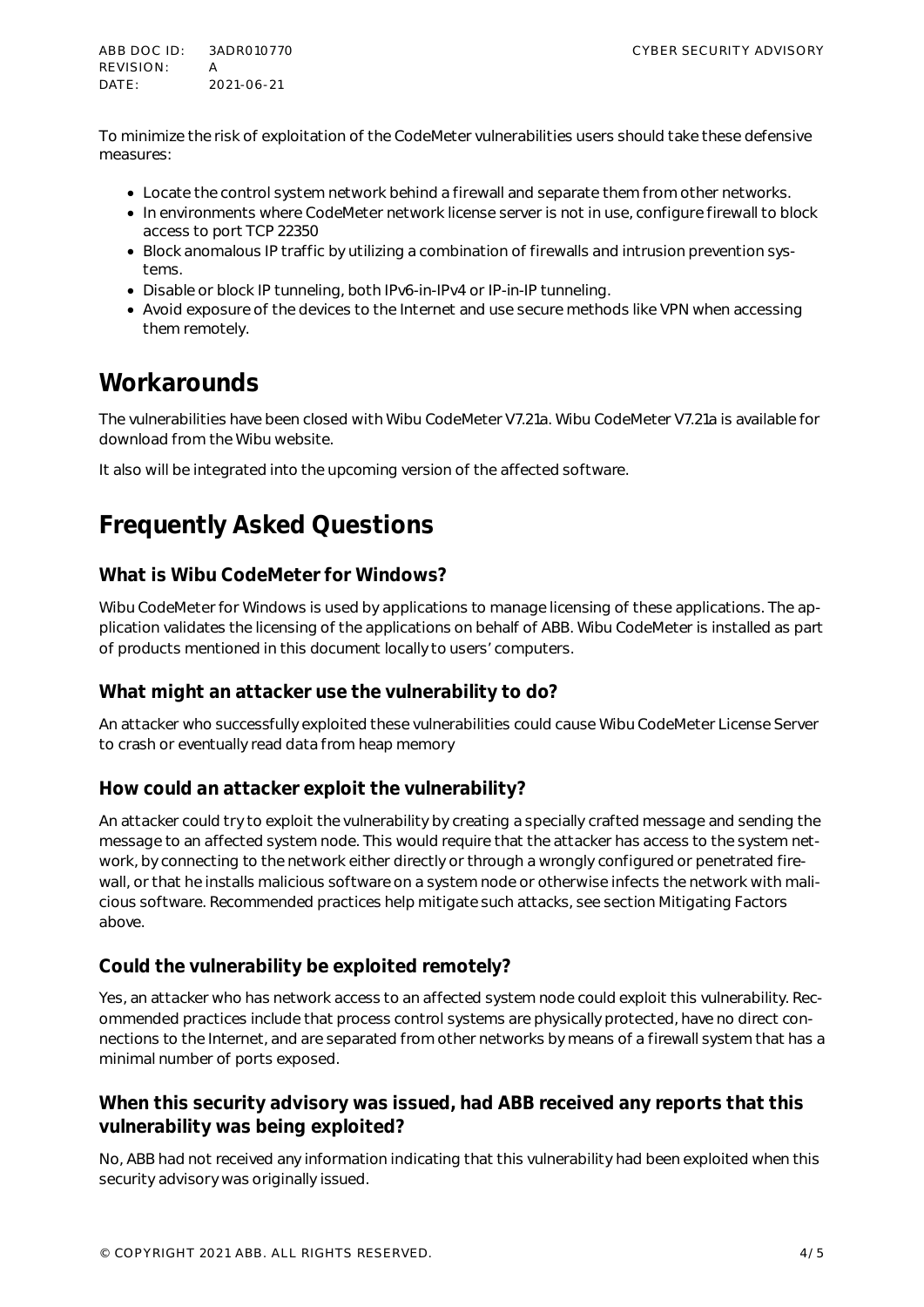ABB DOC ID: 3ADR010770 CYBER SECURITY ADVISORY REVISION: A DATE: 2021-06-21

To minimize the risk of exploitation of the CodeMeter vulnerabilities users should take these defensive measures:

- Locate the control system network behind a firewall and separate them from other networks.
- In environments where CodeMeter network license server is not in use, configure firewall to block access to port TCP 22350
- Block anomalous IP traffic by utilizing a combination of firewalls and intrusion prevention systems.
- Disable or block IP tunneling, both IPv6-in-IPv4 or IP-in-IP tunneling.
- Avoid exposure of the devices to the Internet and use secure methods like VPN when accessing them remotely.

### **Workarounds**

The vulnerabilities have been closed with Wibu CodeMeter V7.21a. Wibu CodeMeter V7.21a is available for download from the Wibu website.

It also will be integrated into the upcoming version of the affected software.

## **Frequently Asked Questions**

### **What is Wibu CodeMeter for Windows?**

Wibu CodeMeter for Windows is used by applications to manage licensing of these applications. The application validates the licensing of the applications on behalf of ABB. Wibu CodeMeter is installed as part of products mentioned in this document locally to users' computers.

### **What might an attacker use the vulnerability to do?**

An attacker who successfully exploited these vulnerabilities could cause Wibu CodeMeter License Server to crash or eventually read data from heap memory

### **How could an attacker exploit the vulnerability?**

An attacker could try to exploit the vulnerability by creating a specially crafted message and sending the message to an affected system node. This would require that the attacker has access to the system network, by connecting to the network either directly or through a wrongly configured or penetrated firewall, or that he installs malicious software on a system node or otherwise infects the network with malicious software. Recommended practices help mitigate such attacks, see section Mitigating Factors above.

### **Could the vulnerability be exploited remotely?**

Yes, an attacker who has network access to an affected system node could exploit this vulnerability. Recommended practices include that process control systems are physically protected, have no direct connections to the Internet, and are separated from other networks by means of a firewall system that has a minimal number of ports exposed.

### **When this security advisory was issued, had ABB received any reports that this vulnerability was being exploited?**

No, ABB had not received any information indicating that this vulnerability had been exploited when this security advisory was originally issued.